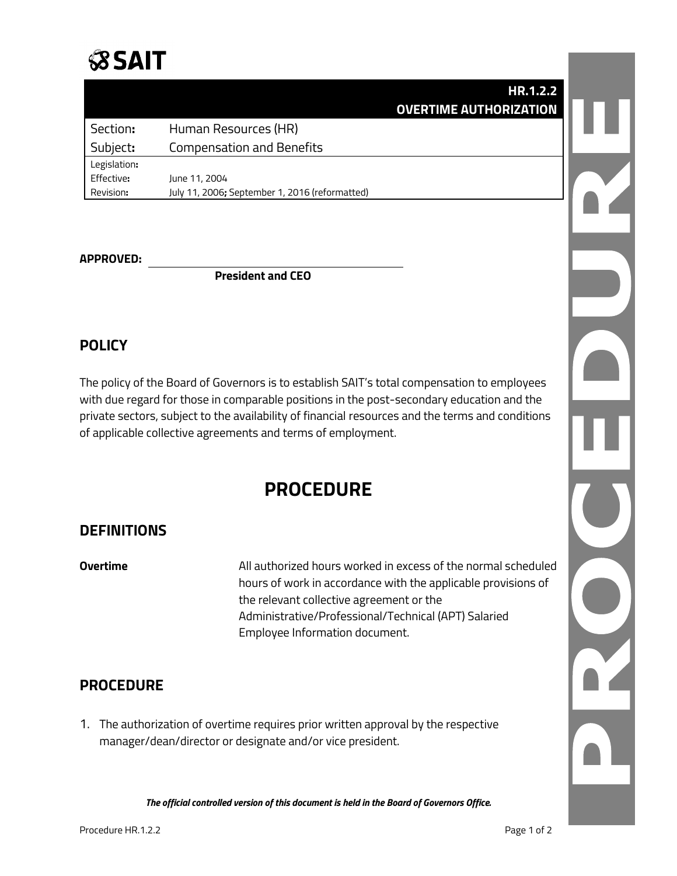## **SSAIT**

|              | HR.1.2.2                                       |  |
|--------------|------------------------------------------------|--|
|              | <b>OVERTIME AUTHORIZATION</b>                  |  |
| Section:     | Human Resources (HR)                           |  |
| Subject:     | <b>Compensation and Benefits</b>               |  |
| Legislation: |                                                |  |
| Effective:   | June 11, 2004                                  |  |
| Revision:    | July 11, 2006; September 1, 2016 (reformatted) |  |

#### **APPROVED:**

**President and CEO**

#### **POLICY**

The policy of the Board of Governors is to establish SAIT's total compensation to employees with due regard for those in comparable positions in the post-secondary education and the private sectors, subject to the availability of financial resources and the terms and conditions of applicable collective agreements and terms of employment.

### **PROCEDURE**

#### **DEFINITIONS**

**Overtime** All authorized hours worked in excess of the normal scheduled hours of work in accordance with the applicable provisions of the relevant collective agreement or the Administrative/Professional/Technical (APT) Salaried Employee Information document.

#### **PROCEDURE**

1. The authorization of overtime requires prior written approval by the respective manager/dean/director or designate and/or vice president.

*The official controlled version of this document is held in the Board of Governors Office.*